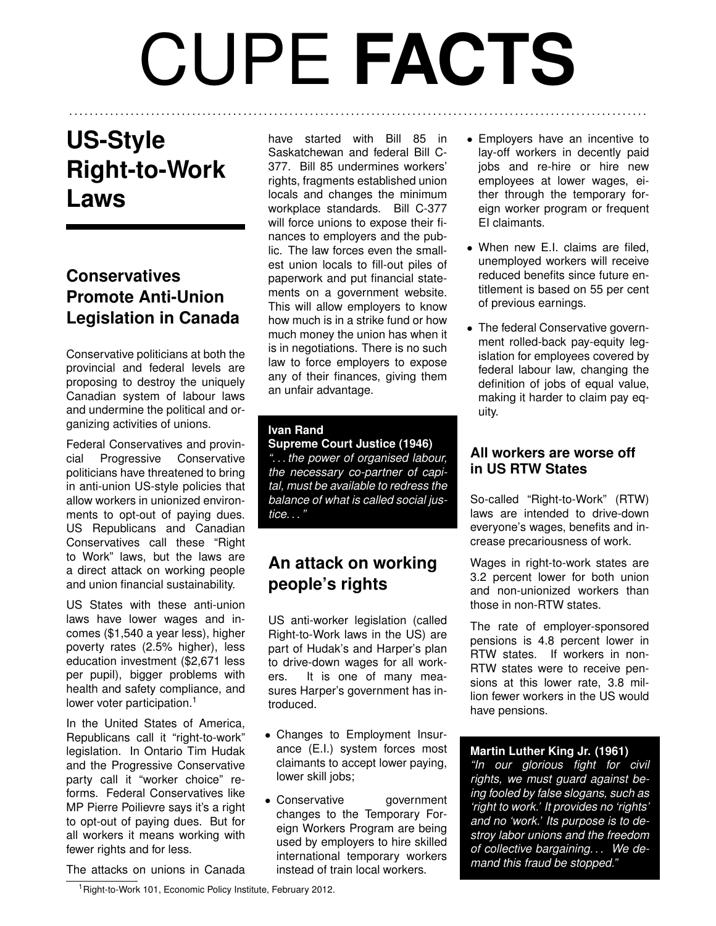# CUPE **FACTS**

. . . . . . . . . . . . . . . . . . . . . . . . . . . . . . . . . . . . . . . . . . . . . . . . . . . . . . . . . . . . . . . . . . . . . . . . . . . . . . . . . . . . . . . . . . . . . . . . . . . . . . . . . . . . . . . . .

## **US-Style Right-to-Work Laws**

## **Conservatives Promote Anti-Union Legislation in Canada**

Conservative politicians at both the provincial and federal levels are proposing to destroy the uniquely Canadian system of labour laws and undermine the political and organizing activities of unions.

Federal Conservatives and provincial Progressive Conservative politicians have threatened to bring in anti-union US-style policies that allow workers in unionized environments to opt-out of paying dues. US Republicans and Canadian Conservatives call these "Right to Work" laws, but the laws are a direct attack on working people and union financial sustainability.

US States with these anti-union laws have lower wages and incomes (\$1,540 a year less), higher poverty rates (2.5% higher), less education investment (\$2,671 less per pupil), bigger problems with health and safety compliance, and lower voter participation.<sup>[1](#page-0-0)</sup>

In the United States of America, Republicans call it "right-to-work" legislation. In Ontario Tim Hudak and the Progressive Conservative party call it "worker choice" reforms. Federal Conservatives like MP Pierre Poilievre says it's a right to opt-out of paying dues. But for all workers it means working with fewer rights and for less.

have started with Bill 85 in Saskatchewan and federal Bill C-377. Bill 85 undermines workers' rights, fragments established union locals and changes the minimum workplace standards. Bill C-377 will force unions to expose their finances to employers and the public. The law forces even the smallest union locals to fill-out piles of paperwork and put financial statements on a government website. This will allow employers to know how much is in a strike fund or how much money the union has when it is in negotiations. There is no such law to force employers to expose any of their finances, giving them an unfair advantage.

#### **Ivan Rand**

**Supreme Court Justice (1946)** *". . . the power of organised labour, the necessary co-partner of capital, must be available to redress the balance of what is called social justice. . . "*

## **An attack on working people's rights**

US anti-worker legislation (called Right-to-Work laws in the US) are part of Hudak's and Harper's plan to drive-down wages for all workers. It is one of many measures Harper's government has introduced.

- Changes to Employment Insurance (E.I.) system forces most claimants to accept lower paying, lower skill jobs;
- Conservative government changes to the Temporary Foreign Workers Program are being used by employers to hire skilled international temporary workers instead of train local workers.
- Employers have an incentive to lay-off workers in decently paid jobs and re-hire or hire new employees at lower wages, either through the temporary foreign worker program or frequent EI claimants.
- When new E.I. claims are filed, unemployed workers will receive reduced benefits since future entitlement is based on 55 per cent of previous earnings.
- The federal Conservative government rolled-back pay-equity legislation for employees covered by federal labour law, changing the definition of jobs of equal value, making it harder to claim pay equity.

## **All workers are worse off in US RTW States**

So-called "Right-to-Work" (RTW) laws are intended to drive-down everyone's wages, benefits and increase precariousness of work.

Wages in right-to-work states are 3.2 percent lower for both union and non-unionized workers than those in non-RTW states.

The rate of employer-sponsored pensions is 4.8 percent lower in RTW states. If workers in non-RTW states were to receive pensions at this lower rate, 3.8 million fewer workers in the US would have pensions.

## **Martin Luther King Jr. (1961)**

*"In our glorious fight for civil rights, we must guard against being fooled by false slogans, such as 'right to work.' It provides no 'rights' and no 'work.' Its purpose is to destroy labor unions and the freedom of collective bargaining. . . We demand this fraud be stopped."*

The attacks on unions in Canada

<span id="page-0-0"></span><sup>1</sup>Right-to-Work 101, Economic Policy Institute, February 2012.